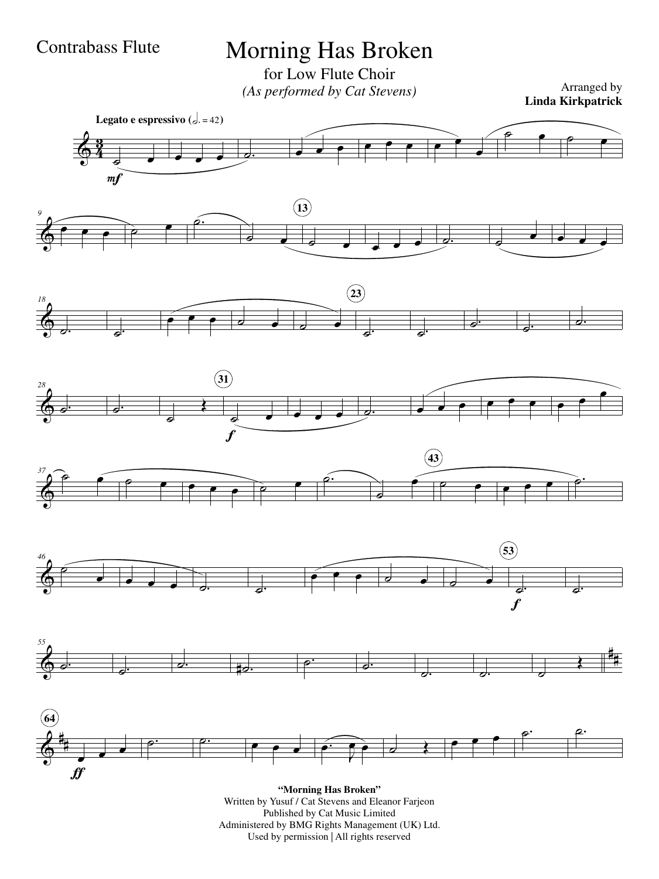## Contrabass Flute

## Morning Has Broken

for Low Flute Choir *(As performed by Cat Stevens)* Arranged by Arranged by Cat Stevens)

**Linda Kirkpatrick**

















**"Morning Has Broken"** Written by Yusuf / Cat Stevens and Eleanor Farjeon Published by Cat Music Limited Administered by BMG Rights Management (UK) Ltd. Used by permission | All rights reserved